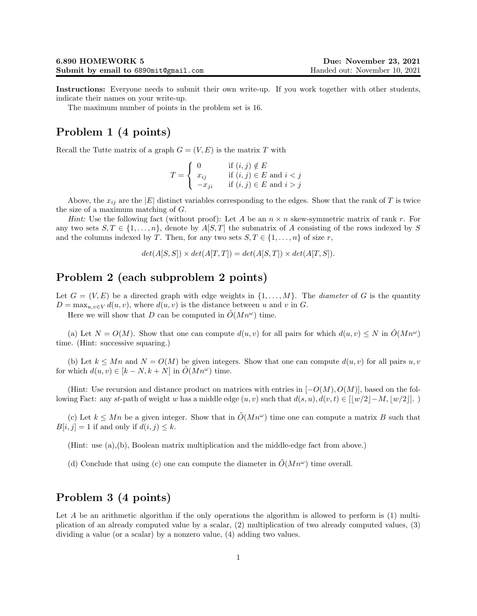Instructions: Everyone needs to submit their own write-up. If you work together with other students, indicate their names on your write-up.

The maximum number of points in the problem set is 16.

## Problem 1 (4 points)

Recall the Tutte matrix of a graph  $G = (V, E)$  is the matrix T with

$$
T = \begin{cases} 0 & \text{if } (i,j) \notin E \\ x_{ij} & \text{if } (i,j) \in E \text{ and } i < j \\ -x_{ji} & \text{if } (i,j) \in E \text{ and } i > j \end{cases}
$$

Above, the  $x_{ij}$  are the |E| distinct variables corresponding to the edges. Show that the rank of T is twice the size of a maximum matching of G.

*Hint:* Use the following fact (without proof): Let A be an  $n \times n$  skew-symmetric matrix of rank r. For any two sets  $S, T \in \{1, ..., n\}$ , denote by  $A[S, T]$  the submatrix of A consisting of the rows indexed by S and the columns indexed by T. Then, for any two sets  $S, T \in \{1, ..., n\}$  of size r,

$$
det(A[S, S]) \times det(A[T, T]) = det(A[S, T]) \times det(A[T, S]).
$$

## Problem 2 (each subproblem 2 points)

Let  $G = (V, E)$  be a directed graph with edge weights in  $\{1, \ldots, M\}$ . The *diameter* of G is the quantity  $D = \max_{u,v \in V} d(u,v)$ , where  $d(u,v)$  is the distance between u and v in G.

Here we will show that D can be computed in  $\tilde{O}(Mn^{\omega})$  time.

(a) Let  $N = O(M)$ . Show that one can compute  $d(u, v)$  for all pairs for which  $d(u, v) \leq N$  in  $\tilde{O}(Mn^{\omega})$ time. (Hint: successive squaring.)

(b) Let  $k \leq Mn$  and  $N = O(M)$  be given integers. Show that one can compute  $d(u, v)$  for all pairs  $u, v$ for which  $d(u, v) \in [k - N, k + N]$  in  $\tilde{O}(Mn^{\omega})$  time.

(Hint: Use recursion and distance product on matrices with entries in  $[-O(M), O(M)]$ , based on the following Fact: any st-path of weight w has a middle edge  $(u, v)$  such that  $d(s, u), d(v, t) \in [w/2|-M, |w/2|]$ .

(c) Let  $k \leq Mn$  be a given integer. Show that in  $\tilde{O}(Mn^{\omega})$  time one can compute a matrix B such that  $B[i, j] = 1$  if and only if  $d(i, j) \leq k$ .

(Hint: use (a),(b), Boolean matrix multiplication and the middle-edge fact from above.)

(d) Conclude that using (c) one can compute the diameter in  $\tilde{O}(Mn^{\omega})$  time overall.

## Problem 3 (4 points)

Let A be an arithmetic algorithm if the only operations the algorithm is allowed to perform is  $(1)$  multiplication of an already computed value by a scalar, (2) multiplication of two already computed values, (3) dividing a value (or a scalar) by a nonzero value, (4) adding two values.